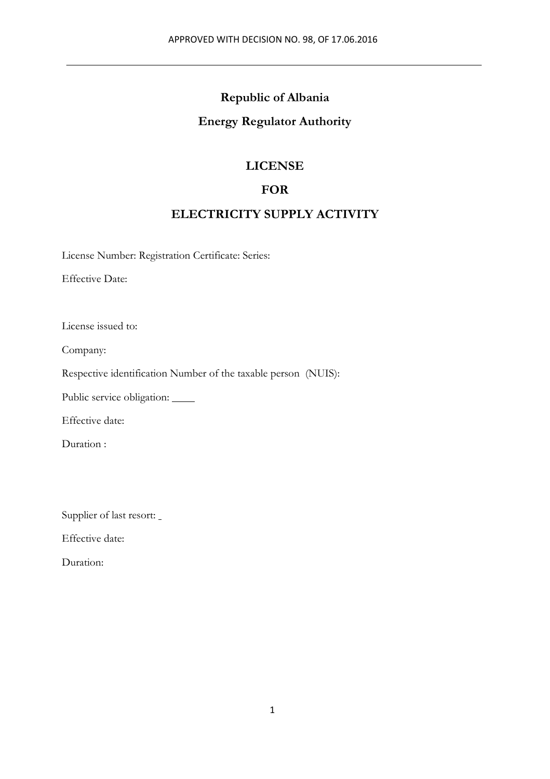#### **Republic of Albania**

#### **Energy Regulator Authority**

#### **LICENSE**

#### **FOR**

#### **ELECTRICITY SUPPLY ACTIVITY**

License Number: Registration Certificate: Series:

Effective Date:

License issued to:

Company:

Respective identification Number of the taxable person (NUIS):

Public service obligation: \_\_\_\_\_

Effective date:

Duration :

Supplier of last resort:

Effective date:

Duration: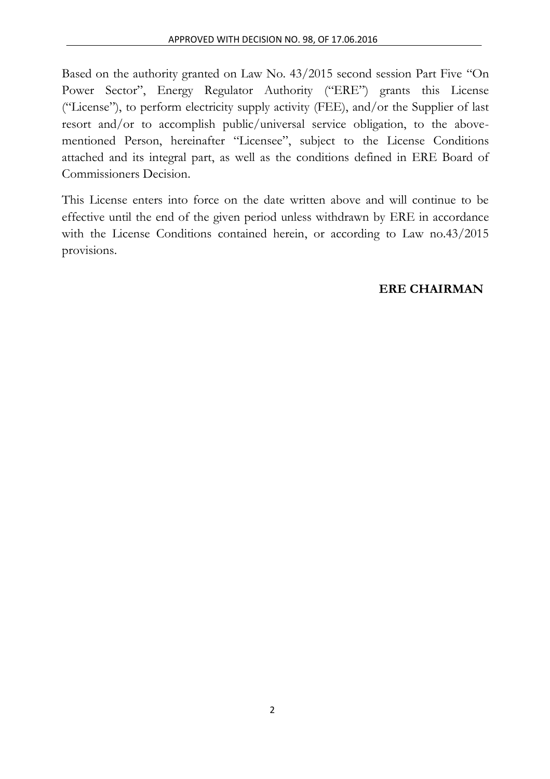Based on the authority granted on Law No. 43/2015 second session Part Five "On Power Sector", Energy Regulator Authority ("ERE") grants this License ("License"), to perform electricity supply activity (FEE), and/or the Supplier of last resort and/or to accomplish public/universal service obligation, to the abovementioned Person, hereinafter "Licensee", subject to the License Conditions attached and its integral part, as well as the conditions defined in ERE Board of Commissioners Decision.

This License enters into force on the date written above and will continue to be effective until the end of the given period unless withdrawn by ERE in accordance with the License Conditions contained herein, or according to Law no.43/2015 provisions.

### **ERE CHAIRMAN**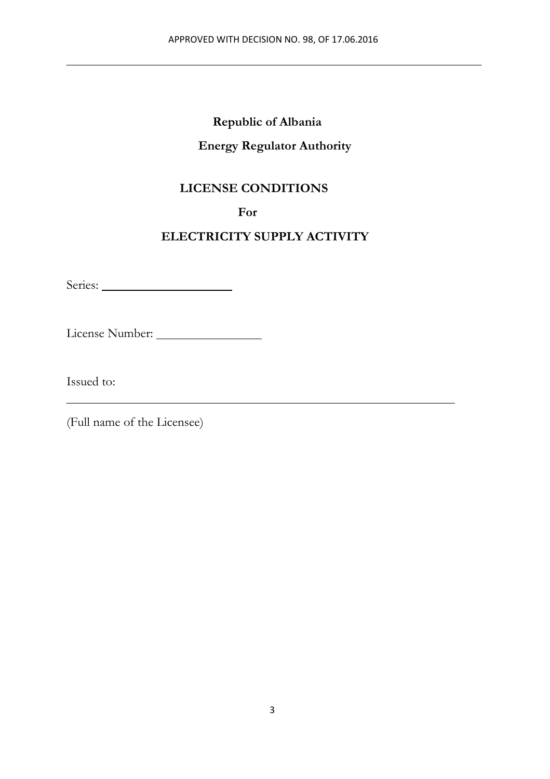### **Republic of Albania**

#### **Energy Regulator Authority**

### **LICENSE CONDITIONS**

**For**

### **ELECTRICITY SUPPLY ACTIVITY**

Series:

License Number:

Issued to:

(Full name of the Licensee)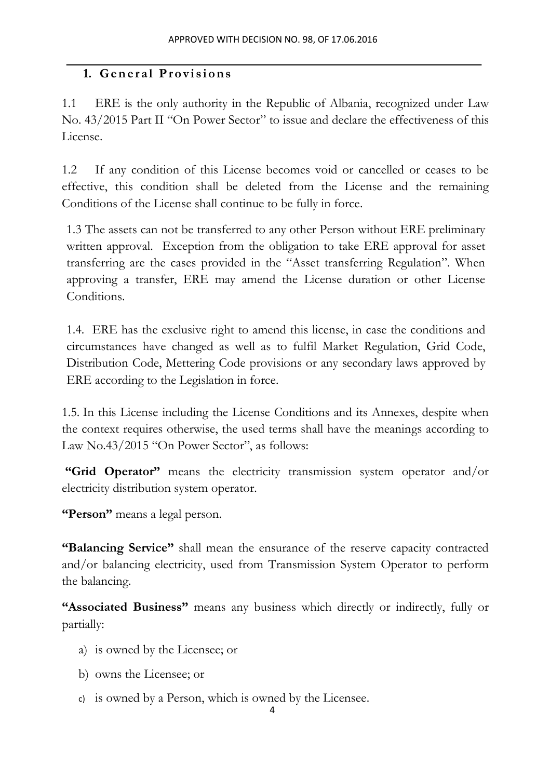### **1. General Provisions**

1.1 ERE is the only authority in the Republic of Albania, recognized under Law No. 43/2015 Part II "On Power Sector" to issue and declare the effectiveness of this License.

1.2 If any condition of this License becomes void or cancelled or ceases to be effective, this condition shall be deleted from the License and the remaining Conditions of the License shall continue to be fully in force.

1.3 The assets can not be transferred to any other Person without ERE preliminary written approval. Exception from the obligation to take ERE approval for asset transferring are the cases provided in the "Asset transferring Regulation". When approving a transfer, ERE may amend the License duration or other License Conditions.

1.4. ERE has the exclusive right to amend this license, in case the conditions and circumstances have changed as well as to fulfil Market Regulation, Grid Code, Distribution Code, Mettering Code provisions or any secondary laws approved by ERE according to the Legislation in force.

1.5. In this License including the License Conditions and its Annexes, despite when the context requires otherwise, the used terms shall have the meanings according to Law No.43/2015 "On Power Sector", as follows:

**"Grid Operator"** means the electricity transmission system operator and/or electricity distribution system operator.

**"Person"** means a legal person.

**"Balancing Service"** shall mean the ensurance of the reserve capacity contracted and/or balancing electricity, used from Transmission System Operator to perform the balancing.

**"Associated Business"** means any business which directly or indirectly, fully or partially:

- a) is owned by the Licensee; or
- b) owns the Licensee; or
- c) is owned by a Person, which is owned by the Licensee.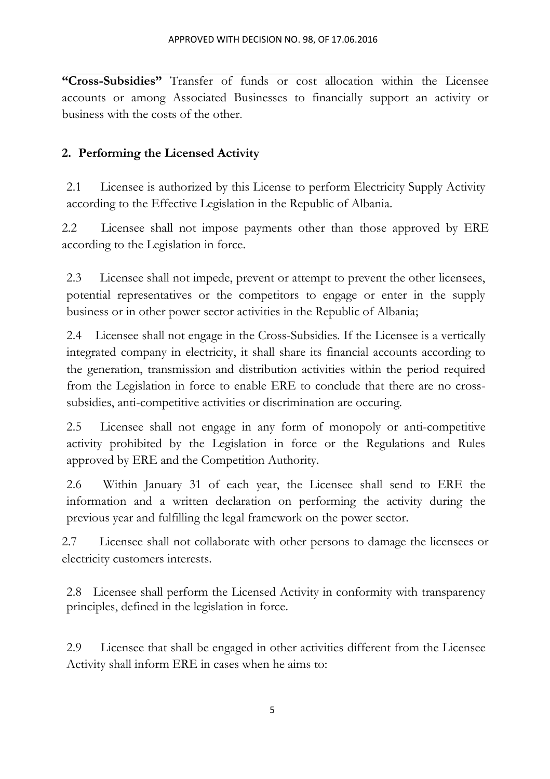**"Cross-Subsidies"** Transfer of funds or cost allocation within the Licensee accounts or among Associated Businesses to financially support an activity or business with the costs of the other.

### **2. Performing the Licensed Activity**

2.1 Licensee is authorized by this License to perform Electricity Supply Activity according to the Effective Legislation in the Republic of Albania.

2.2 Licensee shall not impose payments other than those approved by ERE according to the Legislation in force.

2.3 Licensee shall not impede, prevent or attempt to prevent the other licensees, potential representatives or the competitors to engage or enter in the supply business or in other power sector activities in the Republic of Albania;

2.4 Licensee shall not engage in the Cross-Subsidies. If the Licensee is a vertically integrated company in electricity, it shall share its financial accounts according to the generation, transmission and distribution activities within the period required from the Legislation in force to enable ERE to conclude that there are no crosssubsidies, anti-competitive activities or discrimination are occuring.

2.5 Licensee shall not engage in any form of monopoly or anti-competitive activity prohibited by the Legislation in force or the Regulations and Rules approved by ERE and the Competition Authority.

2.6 Within January 31 of each year, the Licensee shall send to ERE the information and a written declaration on performing the activity during the previous year and fulfilling the legal framework on the power sector.

2.7 Licensee shall not collaborate with other persons to damage the licensees or electricity customers interests.

2.8 Licensee shall perform the Licensed Activity in conformity with transparency principles, defined in the legislation in force.

2.9 Licensee that shall be engaged in other activities different from the Licensee Activity shall inform ERE in cases when he aims to: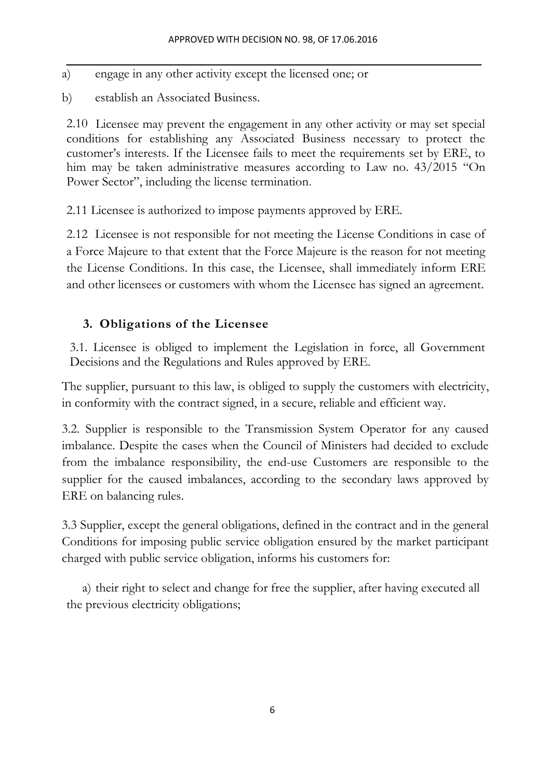- a) engage in any other activity except the licensed one; or
- b) establish an Associated Business.

2.10 Licensee may prevent the engagement in any other activity or may set special conditions for establishing any Associated Business necessary to protect the customer's interests. If the Licensee fails to meet the requirements set by ERE, to him may be taken administrative measures according to Law no. 43/2015 "On Power Sector", including the license termination.

2.11 Licensee is authorized to impose payments approved by ERE.

2.12 Licensee is not responsible for not meeting the License Conditions in case of a Force Majeure to that extent that the Force Majeure is the reason for not meeting the License Conditions. In this case, the Licensee, shall immediately inform ERE and other licensees or customers with whom the Licensee has signed an agreement.

### **3. Obligations of the Licensee**

3.1. Licensee is obliged to implement the Legislation in force, all Government Decisions and the Regulations and Rules approved by ERE.

The supplier, pursuant to this law, is obliged to supply the customers with electricity, in conformity with the contract signed, in a secure, reliable and efficient way.

3.2. Supplier is responsible to the Transmission System Operator for any caused imbalance. Despite the cases when the Council of Ministers had decided to exclude from the imbalance responsibility, the end-use Customers are responsible to the supplier for the caused imbalances, according to the secondary laws approved by ERE on balancing rules.

3.3 Supplier, except the general obligations, defined in the contract and in the general Conditions for imposing public service obligation ensured by the market participant charged with public service obligation, informs his customers for:

a) their right to select and change for free the supplier, after having executed all the previous electricity obligations;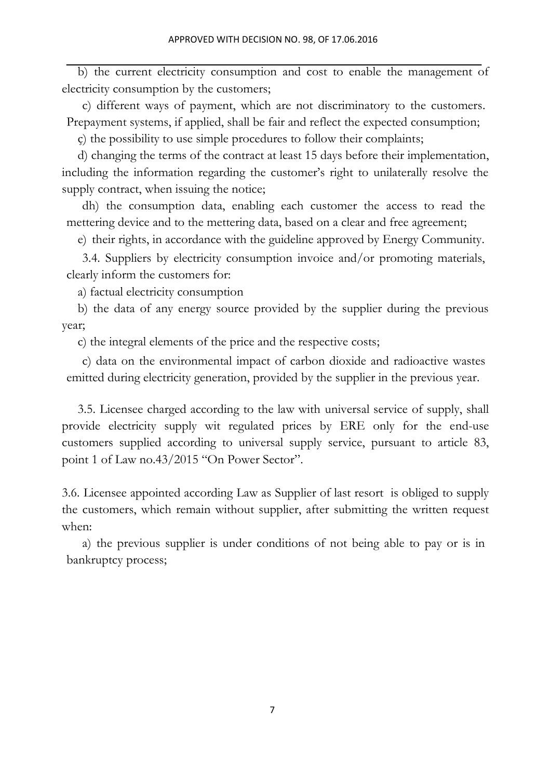b) the current electricity consumption and cost to enable the management of electricity consumption by the customers;

c) different ways of payment, which are not discriminatory to the customers. Prepayment systems, if applied, shall be fair and reflect the expected consumption;

ç) the possibility to use simple procedures to follow their complaints;

d) changing the terms of the contract at least 15 days before their implementation, including the information regarding the customer's right to unilaterally resolve the supply contract, when issuing the notice;

dh) the consumption data, enabling each customer the access to read the mettering device and to the mettering data, based on a clear and free agreement;

e) their rights, in accordance with the guideline approved by Energy Community.

3.4. Suppliers by electricity consumption invoice and/or promoting materials, clearly inform the customers for:

a) factual electricity consumption

b) the data of any energy source provided by the supplier during the previous year;

c) the integral elements of the price and the respective costs;

c) data on the environmental impact of carbon dioxide and radioactive wastes emitted during electricity generation, provided by the supplier in the previous year.

3.5. Licensee charged according to the law with universal service of supply, shall provide electricity supply wit regulated prices by ERE only for the end-use customers supplied according to universal supply service, pursuant to article 83, point 1 of Law no.43/2015 "On Power Sector".

3.6. Licensee appointed according Law as Supplier of last resort is obliged to supply the customers, which remain without supplier, after submitting the written request when:

a) the previous supplier is under conditions of not being able to pay or is in bankruptcy process;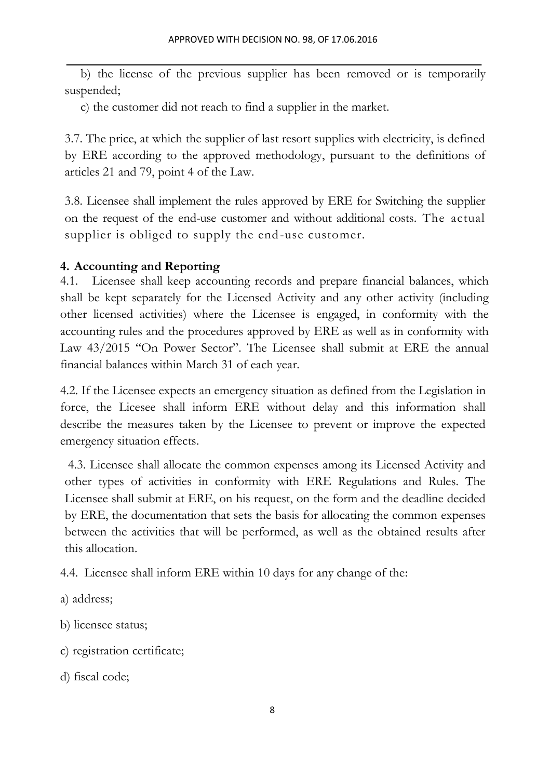b) the license of the previous supplier has been removed or is temporarily suspended;

c) the customer did not reach to find a supplier in the market.

3.7. The price, at which the supplier of last resort supplies with electricity, is defined by ERE according to the approved methodology, pursuant to the definitions of articles 21 and 79, point 4 of the Law.

3.8. Licensee shall implement the rules approved by ERE for Switching the supplier on the request of the end-use customer and without additional costs. The actual supplier is obliged to supply the end-use customer.

### **4. Accounting and Reporting**

4.1. Licensee shall keep accounting records and prepare financial balances, which shall be kept separately for the Licensed Activity and any other activity (including other licensed activities) where the Licensee is engaged, in conformity with the accounting rules and the procedures approved by ERE as well as in conformity with Law 43/2015 "On Power Sector". The Licensee shall submit at ERE the annual financial balances within March 31 of each year.

4.2. If the Licensee expects an emergency situation as defined from the Legislation in force, the Licesee shall inform ERE without delay and this information shall describe the measures taken by the Licensee to prevent or improve the expected emergency situation effects.

4.3. Licensee shall allocate the common expenses among its Licensed Activity and other types of activities in conformity with ERE Regulations and Rules. The Licensee shall submit at ERE, on his request, on the form and the deadline decided by ERE, the documentation that sets the basis for allocating the common expenses between the activities that will be performed, as well as the obtained results after this allocation.

4.4. Licensee shall inform ERE within 10 days for any change of the:

- a) address;
- b) licensee status;
- c) registration certificate;
- d) fiscal code;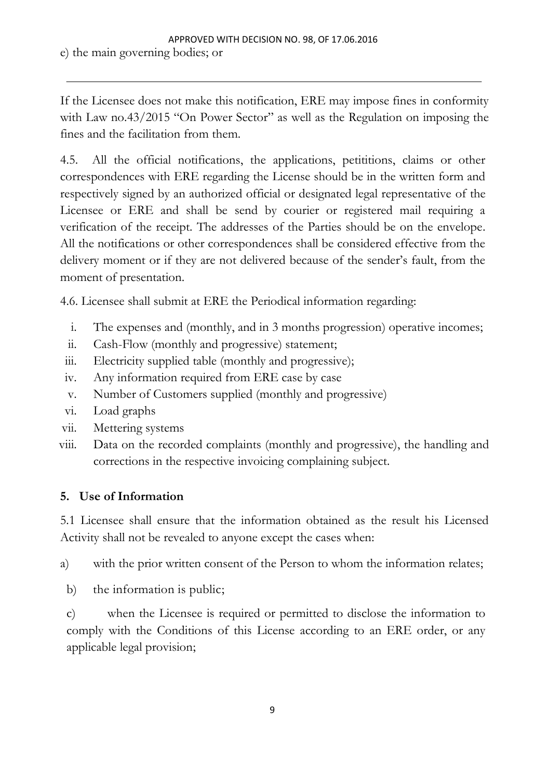If the Licensee does not make this notification, ERE may impose fines in conformity with Law no.43/2015 "On Power Sector" as well as the Regulation on imposing the fines and the facilitation from them.

4.5. All the official notifications, the applications, petititions, claims or other correspondences with ERE regarding the License should be in the written form and respectively signed by an authorized official or designated legal representative of the Licensee or ERE and shall be send by courier or registered mail requiring a verification of the receipt. The addresses of the Parties should be on the envelope. All the notifications or other correspondences shall be considered effective from the delivery moment or if they are not delivered because of the sender's fault, from the moment of presentation.

4.6. Licensee shall submit at ERE the Periodical information regarding:

- i. The expenses and (monthly, and in 3 months progression) operative incomes;
- ii. Cash-Flow (monthly and progressive) statement;
- iii. Electricity supplied table (monthly and progressive);
- iv. Any information required from ERE case by case
- v. Number of Customers supplied (monthly and progressive)
- vi. Load graphs
- vii. Mettering systems
- viii. Data on the recorded complaints (monthly and progressive), the handling and corrections in the respective invoicing complaining subject.

### **5. Use of Information**

5.1 Licensee shall ensure that the information obtained as the result his Licensed Activity shall not be revealed to anyone except the cases when:

a) with the prior written consent of the Person to whom the information relates;

b) the information is public;

c) when the Licensee is required or permitted to disclose the information to comply with the Conditions of this License according to an ERE order, or any applicable legal provision;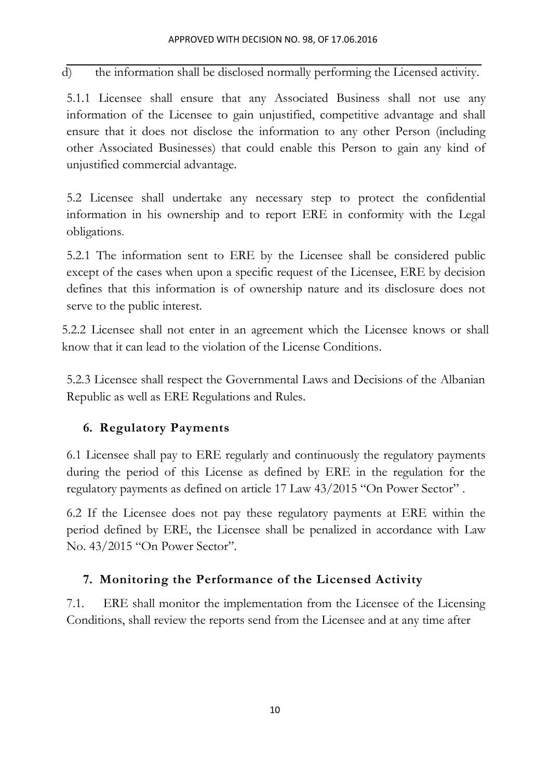d) the information shall be disclosed normally performing the Licensed activity.

5.1.1 Licensee shall ensure that any Associated Business shall not use any information of the Licensee to gain unjustified, competitive advantage and shall ensure that it does not disclose the information to any other Person (including other Associated Businesses) that could enable this Person to gain any kind of unjustified commercial advantage.

5.2 Licensee shall undertake any necessary step to protect the confidential information in his ownership and to report ERE in conformity with the Legal obligations.

5.2.1 The information sent to ERE by the Licensee shall be considered public except of the cases when upon a specific request of the Licensee, ERE by decision defines that this information is of ownership nature and its disclosure does not serve to the public interest.

5.2.2 Licensee shall not enter in an agreement which the Licensee knows or shall know that it can lead to the violation of the License Conditions.

5.2.3 Licensee shall respect the Governmental Laws and Decisions of the Albanian Republic as well as ERE Regulations and Rules.

# **6. Regulatory Payments**

6.1 Licensee shall pay to ERE regularly and continuously the regulatory payments during the period of this License as defined by ERE in the regulation for the regulatory payments as defined on article 17 Law 43/2015 "On Power Sector" .

6.2 If the Licensee does not pay these regulatory payments at ERE within the period defined by ERE, the Licensee shall be penalized in accordance with Law No. 43/2015 "On Power Sector".

# **7. Monitoring the Performance of the Licensed Activity**

7.1. ERE shall monitor the implementation from the Licensee of the Licensing Conditions, shall review the reports send from the Licensee and at any time after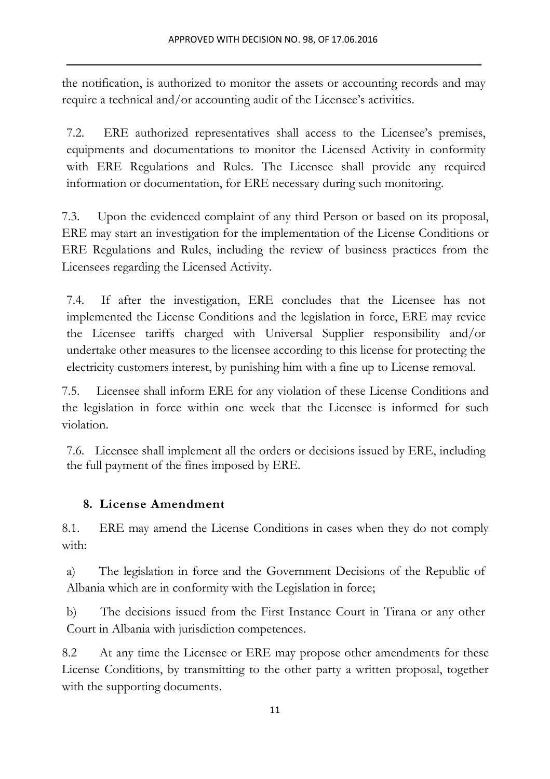the notification, is authorized to monitor the assets or accounting records and may require a technical and/or accounting audit of the Licensee's activities.

7.2. ERE authorized representatives shall access to the Licensee's premises, equipments and documentations to monitor the Licensed Activity in conformity with ERE Regulations and Rules. The Licensee shall provide any required information or documentation, for ERE necessary during such monitoring.

7.3. Upon the evidenced complaint of any third Person or based on its proposal, ERE may start an investigation for the implementation of the License Conditions or ERE Regulations and Rules, including the review of business practices from the Licensees regarding the Licensed Activity.

7.4. If after the investigation, ERE concludes that the Licensee has not implemented the License Conditions and the legislation in force, ERE may revice the Licensee tariffs charged with Universal Supplier responsibility and/or undertake other measures to the licensee according to this license for protecting the electricity customers interest, by punishing him with a fine up to License removal.

7.5. Licensee shall inform ERE for any violation of these License Conditions and the legislation in force within one week that the Licensee is informed for such violation.

7.6. Licensee shall implement all the orders or decisions issued by ERE, including the full payment of the fines imposed by ERE.

### **8. License Amendment**

8.1. ERE may amend the License Conditions in cases when they do not comply with:

a) The legislation in force and the Government Decisions of the Republic of Albania which are in conformity with the Legislation in force;

b) The decisions issued from the First Instance Court in Tirana or any other Court in Albania with jurisdiction competences.

8.2 At any time the Licensee or ERE may propose other amendments for these License Conditions, by transmitting to the other party a written proposal, together with the supporting documents.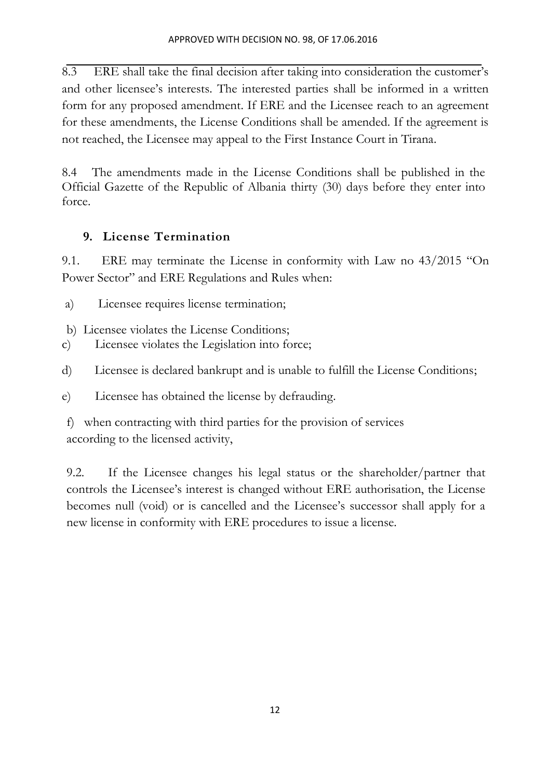8.3 ERE shall take the final decision after taking into consideration the customer's and other licensee's interests. The interested parties shall be informed in a written form for any proposed amendment. If ERE and the Licensee reach to an agreement for these amendments, the License Conditions shall be amended. If the agreement is not reached, the Licensee may appeal to the First Instance Court in Tirana.

8.4 The amendments made in the License Conditions shall be published in the Official Gazette of the Republic of Albania thirty (30) days before they enter into force.

## **9. License Termination**

9.1. ERE may terminate the License in conformity with Law no 43/2015 "On Power Sector" and ERE Regulations and Rules when:

- a) Licensee requires license termination;
- b) Licensee violates the License Conditions;
- c) Licensee violates the Legislation into force;
- d) Licensee is declared bankrupt and is unable to fulfill the License Conditions;
- e) Licensee has obtained the license by defrauding.

f) when contracting with third parties for the provision of services according to the licensed activity,

9.2. If the Licensee changes his legal status or the shareholder/partner that controls the Licensee's interest is changed without ERE authorisation, the License becomes null (void) or is cancelled and the Licensee's successor shall apply for a new license in conformity with ERE procedures to issue a license.